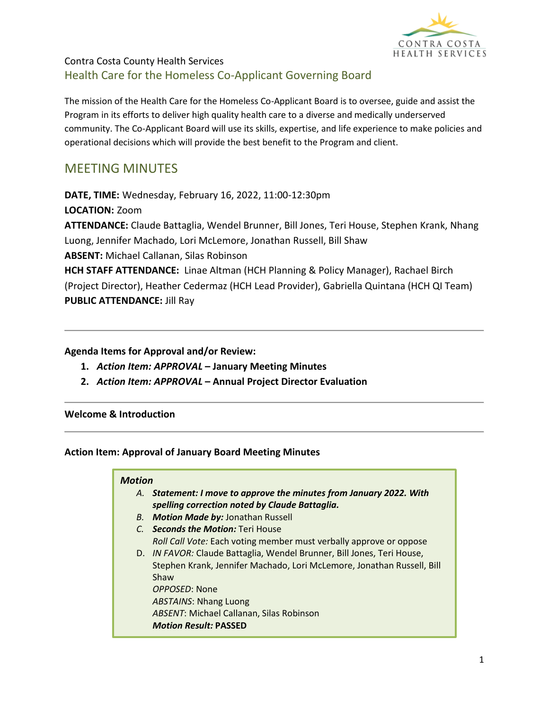

The mission of the Health Care for the Homeless Co-Applicant Board is to oversee, guide and assist the Program in its efforts to deliver high quality health care to a diverse and medically underserved community. The Co-Applicant Board will use its skills, expertise, and life experience to make policies and operational decisions which will provide the best benefit to the Program and client.

# MEETING MINUTES

**DATE, TIME:** Wednesday, February 16, 2022, 11:00-12:30pm

**LOCATION:** Zoom

**ATTENDANCE:** Claude Battaglia, Wendel Brunner, Bill Jones, Teri House, Stephen Krank, Nhang Luong, Jennifer Machado, Lori McLemore, Jonathan Russell, Bill Shaw **ABSENT:** Michael Callanan, Silas Robinson

**HCH STAFF ATTENDANCE:** Linae Altman (HCH Planning & Policy Manager), Rachael Birch (Project Director), Heather Cedermaz (HCH Lead Provider), Gabriella Quintana (HCH QI Team) **PUBLIC ATTENDANCE:** Jill Ray

#### **Agenda Items for Approval and/or Review:**

- **1.** *Action Item: APPROVAL* **– January Meeting Minutes**
- **2.** *Action Item: APPROVAL* **– Annual Project Director Evaluation**

#### **Welcome & Introduction**

#### **Action Item: Approval of January Board Meeting Minutes**

#### *Motion*

- *A. Statement: I move to approve the minutes from January 2022. With spelling correction noted by Claude Battaglia.*
- *B. Motion Made by:* Jonathan Russell
- *C. Seconds the Motion:* Teri House *Roll Call Vote:* Each voting member must verbally approve or oppose
- D. *IN FAVOR:* Claude Battaglia, Wendel Brunner, Bill Jones, Teri House, Stephen Krank, Jennifer Machado, Lori McLemore, Jonathan Russell, Bill Shaw *OPPOSED*: None *ABSTAINS*: Nhang Luong *ABSENT*: Michael Callanan, Silas Robinson *Motion Result:* **PASSED**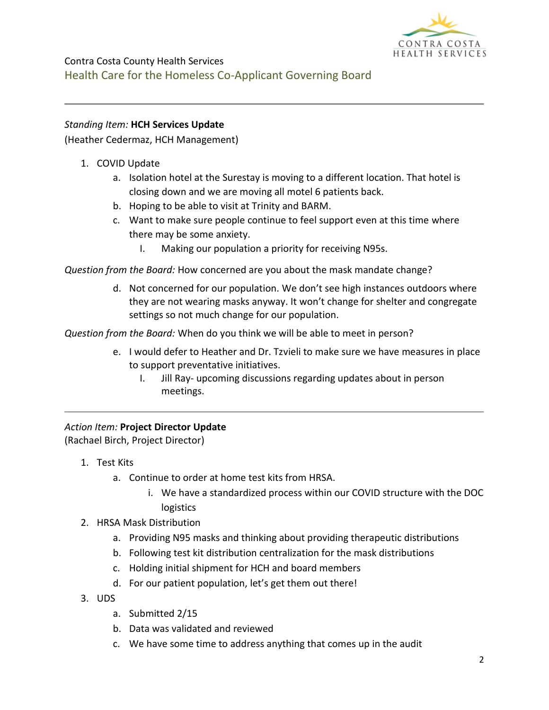

#### *Standing Item:* **HCH Services Update**

(Heather Cedermaz, HCH Management)

- 1. COVID Update
	- a. Isolation hotel at the Surestay is moving to a different location. That hotel is closing down and we are moving all motel 6 patients back.
	- b. Hoping to be able to visit at Trinity and BARM.
	- c. Want to make sure people continue to feel support even at this time where there may be some anxiety.
		- I. Making our population a priority for receiving N95s.

*Question from the Board:* How concerned are you about the mask mandate change?

d. Not concerned for our population. We don't see high instances outdoors where they are not wearing masks anyway. It won't change for shelter and congregate settings so not much change for our population.

*Question from the Board:* When do you think we will be able to meet in person?

- e. I would defer to Heather and Dr. Tzvieli to make sure we have measures in place to support preventative initiatives.
	- I. Jill Ray- upcoming discussions regarding updates about in person meetings.

#### *Action Item:* **Project Director Update**

(Rachael Birch, Project Director)

- 1. Test Kits
	- a. Continue to order at home test kits from HRSA.
		- i. We have a standardized process within our COVID structure with the DOC logistics
- 2. HRSA Mask Distribution
	- a. Providing N95 masks and thinking about providing therapeutic distributions
	- b. Following test kit distribution centralization for the mask distributions
	- c. Holding initial shipment for HCH and board members
	- d. For our patient population, let's get them out there!
- 3. UDS
	- a. Submitted 2/15
	- b. Data was validated and reviewed
	- c. We have some time to address anything that comes up in the audit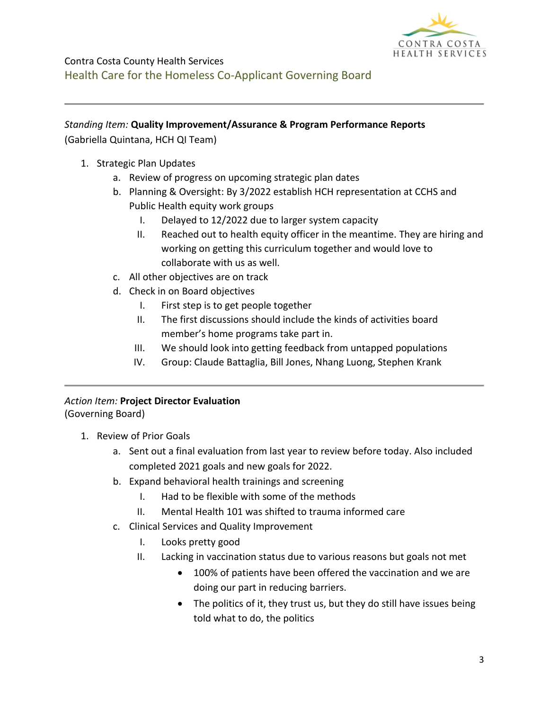

#### *Standing Item:* **Quality Improvement/Assurance & Program Performance Reports**

(Gabriella Quintana, HCH QI Team)

- 1. Strategic Plan Updates
	- a. Review of progress on upcoming strategic plan dates
	- b. Planning & Oversight: By 3/2022 establish HCH representation at CCHS and Public Health equity work groups
		- I. Delayed to 12/2022 due to larger system capacity
		- II. Reached out to health equity officer in the meantime. They are hiring and working on getting this curriculum together and would love to collaborate with us as well.
	- c. All other objectives are on track
	- d. Check in on Board objectives
		- I. First step is to get people together
		- II. The first discussions should include the kinds of activities board member's home programs take part in.
		- III. We should look into getting feedback from untapped populations
		- IV. Group: Claude Battaglia, Bill Jones, Nhang Luong, Stephen Krank

# *Action Item:* **Project Director Evaluation**

(Governing Board)

- 1. Review of Prior Goals
	- a. Sent out a final evaluation from last year to review before today. Also included completed 2021 goals and new goals for 2022.
	- b. Expand behavioral health trainings and screening
		- I. Had to be flexible with some of the methods
		- II. Mental Health 101 was shifted to trauma informed care
	- c. Clinical Services and Quality Improvement
		- I. Looks pretty good
		- II. Lacking in vaccination status due to various reasons but goals not met
			- 100% of patients have been offered the vaccination and we are doing our part in reducing barriers.
			- The politics of it, they trust us, but they do still have issues being told what to do, the politics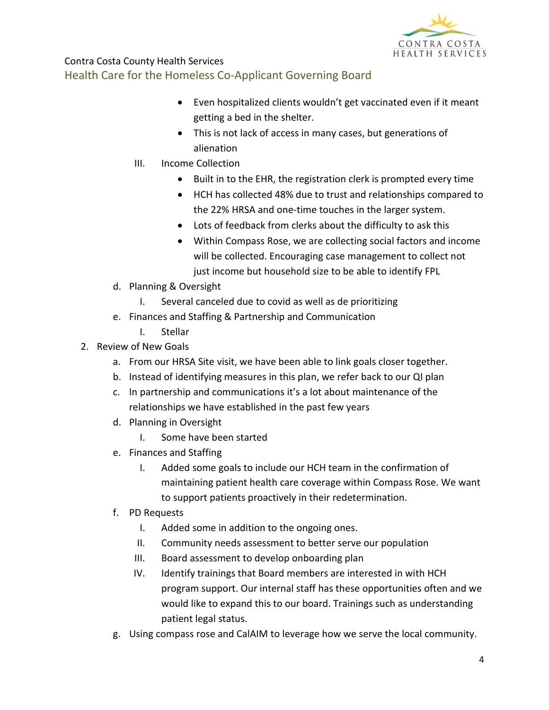

- Even hospitalized clients wouldn't get vaccinated even if it meant getting a bed in the shelter.
- This is not lack of access in many cases, but generations of alienation
- III. Income Collection
	- Built in to the EHR, the registration clerk is prompted every time
	- HCH has collected 48% due to trust and relationships compared to the 22% HRSA and one-time touches in the larger system.
	- Lots of feedback from clerks about the difficulty to ask this
	- Within Compass Rose, we are collecting social factors and income will be collected. Encouraging case management to collect not just income but household size to be able to identify FPL
- d. Planning & Oversight
	- I. Several canceled due to covid as well as de prioritizing
- e. Finances and Staffing & Partnership and Communication
	- I. Stellar
- 2. Review of New Goals
	- a. From our HRSA Site visit, we have been able to link goals closer together.
	- b. Instead of identifying measures in this plan, we refer back to our QI plan
	- c. In partnership and communications it's a lot about maintenance of the relationships we have established in the past few years
	- d. Planning in Oversight
		- I. Some have been started
	- e. Finances and Staffing
		- I. Added some goals to include our HCH team in the confirmation of maintaining patient health care coverage within Compass Rose. We want to support patients proactively in their redetermination.
	- f. PD Requests
		- I. Added some in addition to the ongoing ones.
		- II. Community needs assessment to better serve our population
		- III. Board assessment to develop onboarding plan
		- IV. Identify trainings that Board members are interested in with HCH program support. Our internal staff has these opportunities often and we would like to expand this to our board. Trainings such as understanding patient legal status.
	- g. Using compass rose and CalAIM to leverage how we serve the local community.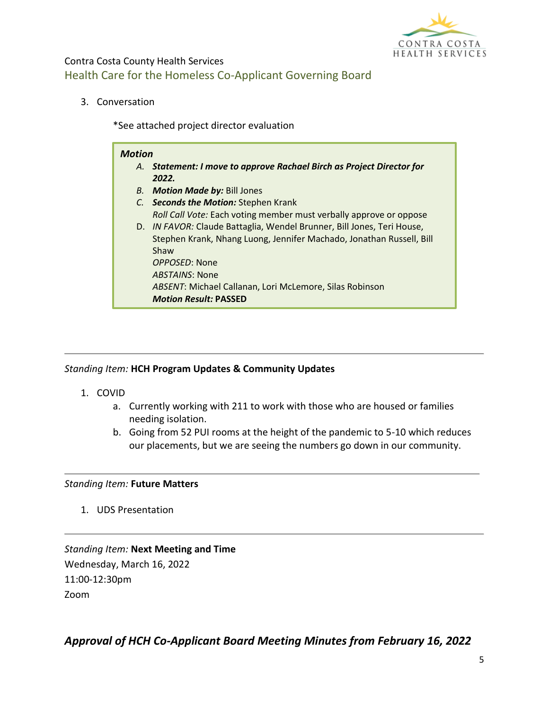

3. Conversation

\*See attached project director evaluation

### *Motion A. Statement: I move to approve Rachael Birch as Project Director for 2022. B. Motion Made by:* Bill Jones *C. Seconds the Motion:* Stephen Krank *Roll Call Vote:* Each voting member must verbally approve or oppose D. *IN FAVOR:* Claude Battaglia, Wendel Brunner, Bill Jones, Teri House, Stephen Krank, Nhang Luong, Jennifer Machado, Jonathan Russell, Bill Shaw *OPPOSED*: None *ABSTAINS*: None *ABSENT*: Michael Callanan, Lori McLemore, Silas Robinson *Motion Result:* **PASSED**

#### *Standing Item:* **HCH Program Updates & Community Updates**

- 1. COVID
	- a. Currently working with 211 to work with those who are housed or families needing isolation.
	- b. Going from 52 PUI rooms at the height of the pandemic to 5-10 which reduces our placements, but we are seeing the numbers go down in our community.

#### *Standing Item:* **Future Matters**

1. UDS Presentation

*Standing Item:* **Next Meeting and Time** Wednesday, March 16, 2022 11:00-12:30pm Zoom

*Approval of HCH Co-Applicant Board Meeting Minutes from February 16, 2022*